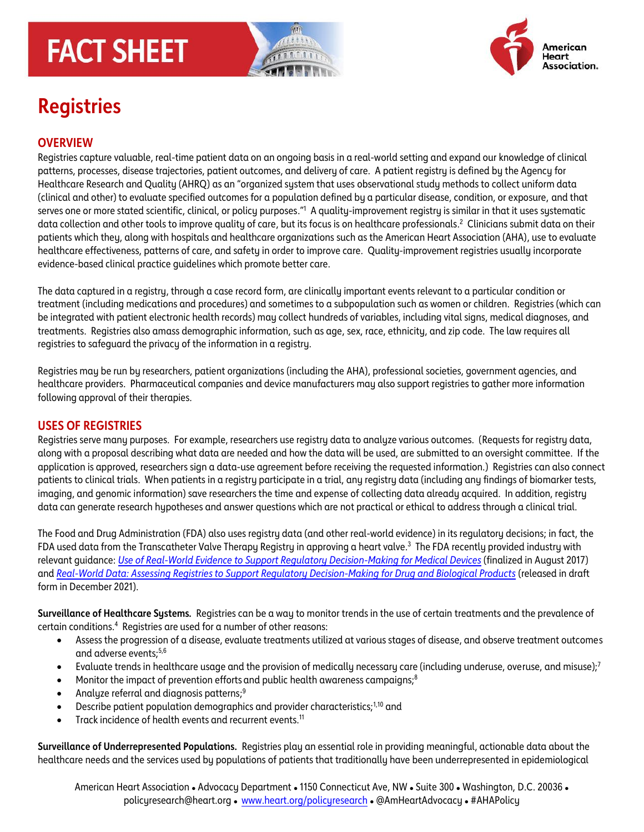# **FACT SHEET**





# **Registries**

## **OVERVIEW**

Registries capture valuable, real-time patient data on an ongoing basis in a real-world setting and expand our knowledge of clinical patterns, processes, disease trajectories, patient outcomes, and delivery of care. A patient registry is defined by the Agency for Healthcare Research and Quality (AHRQ) as an "organized system that uses observational study methods to collect uniform data (clinical and other) to evaluate specified outcomes for a population defined by a particular disease, condition, or exposure, and that serves one or more stated scientific, clinical, or policy purposes."<sup>1</sup> A quality-improvement registry is similar in that it uses systematic data collection and other tools to improve quality of care, but its focus is on healthcare professionals. 2 Clinicians submit data on their patients which they, along with hospitals and healthcare organizations such as the American Heart Association (AHA), use to evaluate healthcare effectiveness, patterns of care, and safety in order to improve care. Quality-improvement registries usually incorporate evidence-based clinical practice guidelines which promote better care.

The data captured in a registry, through a case record form, are clinically important events relevant to a particular condition or treatment (including medications and procedures) and sometimes to a subpopulation such as women or children. Registries (which can be integrated with patient electronic health records) may collect hundreds of variables, including vital signs, medical diagnoses, and treatments. Registries also amass demographic information, such as age, sex, race, ethnicity, and zip code. The law requires all registries to safeguard the privacy of the information in a registry.

Registries may be run by researchers, patient organizations (including the AHA), professional societies, government agencies, and healthcare providers. Pharmaceutical companies and device manufacturers may also support registries to gather more information following approval of their therapies.

#### **USES OF REGISTRIES**

Registries serve many purposes. For example, researchers use registry data to analyze various outcomes. (Requests for registry data, along with a proposal describing what data are needed and how the data will be used, are submitted to an oversight committee. If the application is approved, researchers sign a data-use agreement before receiving the requested information.) Registries can also connect patients to clinical trials. When patients in a registry participate in a trial, any registry data (including any findings of biomarker tests, imaging, and genomic information) save researchers the time and expense of collecting data already acquired. In addition, registry data can generate research hypotheses and answer questions which are not practical or ethical to address through a clinical trial.

The Food and Drug Administration (FDA) also uses registry data (and other real-world evidence) in its regulatory decisions; in fact, the FDA used data from the Transcatheter Valve Therapy Registry in approving a heart valve. 3 The FDA recently provided industry with relevant guidance: *[Use of Real-World Evidence to Support Regulatory Decision-Making for Medical Devices](https://www.fda.gov/regulatory-information/search-fda-guidance-documents/use-real-world-evidence-support-regulatory-decision-making-medical-devices)* (finalized in August 2017) and *[Real-World Data: Assessing Registries to Support Regulatory Decision-Making for Drug and Biological Products](https://nam11.safelinks.protection.outlook.com/?url=https%3A%2F%2Flnks.gd%2Fl%2FeyJhbGciOiJIUzI1NiJ9.eyJidWxsZXRpbl9saW5rX2lkIjoxMDEsInVyaSI6ImJwMjpjbGljayIsImJ1bGxldGluX2lkIjoiMjAyMTExMjkuNDk0OTc1MDEiLCJ1cmwiOiJodHRwczovL3d3dy5mZGEuZ292L3JlZ3VsYXRvcnktaW5mb3JtYXRpb24vc2VhcmNoLWZkYS1ndWlkYW5jZS1kb2N1bWVudHMvcmVhbC13b3JsZC1kYXRhLWFzc2Vzc2luZy1yZWdpc3RyaWVzLXN1cHBvcnQtcmVndWxhdG9yeS1kZWNpc2lvbi1tYWtpbmctZHJ1Zy1hbmQtYmlvbG9naWNhbC1wcm9kdWN0cz91dG1fbWVkaXVtPWVtYWlsJnV0bV9zb3VyY2U9Z292ZGVsaXZlcnkifQ.Ut1SV0xb9GgGMVOF4i0-WQiCKtO77a52e7UuBps7NbA%2Fs%2F1255930829%2Fbr%2F121860195340-l&data=04%7C01%7Cchristin.engelhardt%40heart.org%7Cf11e6ab4812d495196e208d9c8f7d137%7Cceab0fb5f7ff48b4a0d09f76ef96ecf9%7C0%7C0%7C637761788974211831%7CUnknown%7CTWFpbGZsb3d8eyJWIjoiMC4wLjAwMDAiLCJQIjoiV2luMzIiLCJBTiI6Ik1haWwiLCJXVCI6Mn0%3D%7C3000&sdata=ThNdhOj3Leo9l6sM7KQh7OPHOXo8saTiKiddl0QXXe4%3D&reserved=0)* (released in draft form in December 2021).

**Surveillance of Healthcare Systems***.* Registries can be a way to monitor trends in the use of certain treatments and the prevalence of  $c$ ertain conditions. $4$  Registries are used for a number of other reasons:

- Assess the progression of a disease, evaluate treatments utilized at various stages of disease, and observe treatment outcomes and adverse events; 5,6
- Evaluate trends in healthcare usage and the provision of medically necessary care (including underuse, overuse, and misuse);<sup>7</sup>
- Monitor the impact of prevention efforts and public health awareness campaigns;<sup>8</sup>
- Analyze referral and diagnosis patterns;<sup>9</sup>
- Describe patient population demographics and provider characteristics;<sup>1,10</sup> and
- Track incidence of health events and recurrent events.<sup>11</sup>

**Surveillance of Underrepresented Populations***.*Registries play an essential role in providing meaningful, actionable data about the healthcare needs and the services used by populations of patients that traditionally have been underrepresented in epidemiological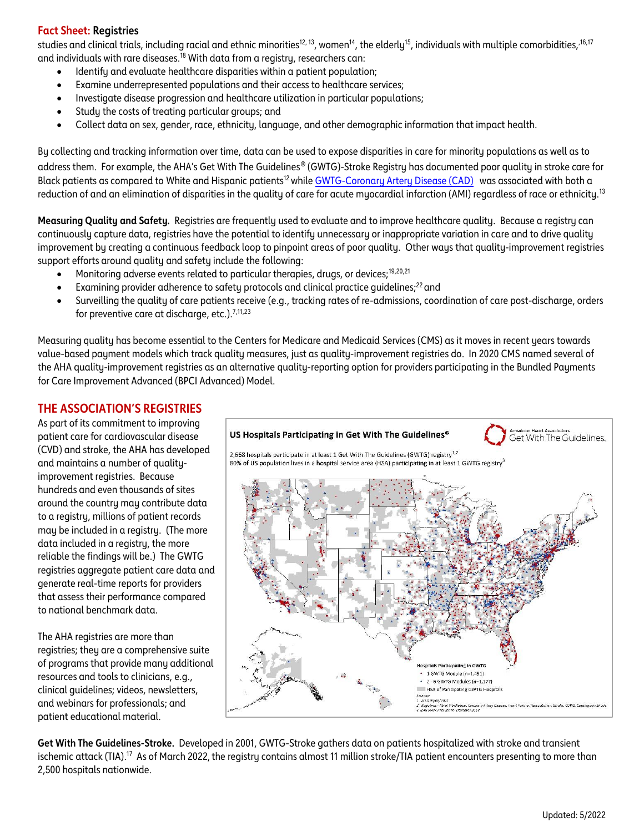#### **Fact Sheet: Registries**

studies and clinical trials, including racial and ethnic minorities<sup>12, 13</sup>, women<sup>14</sup>, the elderly<sup>15</sup>, individuals with multiple comorbidities,<sup>,16,17</sup> and individuals with rare diseases.<sup>18</sup> With data from a registry, researchers can:

- Identify and evaluate healthcare disparities within a patient population;
- Examine underrepresented populations and their access to healthcare services;
- Investigate disease progression and healthcare utilization in particular populations;
- Study the costs of treating particular groups; and
- Collect data on sex, gender, race, ethnicity, language, and other demographic information that impact health.

By collecting and tracking information over time, data can be used to expose disparities in care for minority populations as well as to address them. For example, the AHA's Get With The Guidelines*®* (GWTG)-Stroke Registry has documented poor quality in stroke care for Black patients as compared to White and Hispanic patients<sup>12</sup> while [GWTG-Coronary Artery Disease \(CAD\)](https://www.heart.org/en/professional/quality-improvement/get-with-the-guidelines/get-with-the-guidelines-coronary-artery-disease) was associated with both a reduction of and an elimination of disparities in the quality of care for acute myocardial infarction (AMI) regardless of race or ethnicity.<sup>13</sup>

**Measuring Quality and Safety***.* Registries are frequently used to evaluate and to improve healthcare quality. Because a registry can continuously capture data, registries have the potential to identify unnecessary or inappropriate variation in care and to drive quality improvement by creating a continuous feedback loop to pinpoint areas of poor quality. Other ways that quality-improvement registries support efforts around quality and safety include the following:

- Monitoring adverse events related to particular therapies, drugs, or devices;<sup>19,20,21</sup>
- Examining provider adherence to safety protocols and clinical practice guidelines;<sup>22</sup> and
- Surveilling the quality of care patients receive (e.g., tracking rates of re-admissions, coordination of care post-discharge, orders for preventive care at discharge, etc.).<sup>7,11,23</sup>

Measuring quality has become essential to the Centers for Medicare and Medicaid Services (CMS) as it moves in recent years towards value-based payment models which track quality measures, just as quality-improvement registries do. In 2020 CMS named several of the AHA quality-improvement registries as an alternative quality-reporting option for providers participating in the Bundled Payments for Care Improvement Advanced (BPCI Advanced) Model.

### **THE ASSOCIATION'S REGISTRIES**

As part of its commitment to improving patient care for cardiovascular disease (CVD) and stroke, the AHA has developed and maintains a number of qualityimprovement registries. Because hundreds and even thousands of sites around the country may contribute data to a registry, millions of patient records may be included in a registry. (The more data included in a registry, the more reliable the findings will be.) The GWTG registries aggregate patient care data and generate real-time reports for providers that assess their performance compared to national benchmark data.

The AHA registries are more than registries; they are a comprehensive suite of programs that provide many additional resources and tools to clinicians, e.g., clinical guidelines; videos, newsletters, and webinars for professionals; and patient educational material.



**Get With The Guidelines-Stroke.** Developed in 2001, GWTG-Stroke gathers data on patients hospitalized with stroke and transient ischemic attack (TIA).<sup>17</sup> As of March 2022, the registry contains almost 11 million stroke/TIA patient encounters presenting to more than 2,500 hospitals nationwide.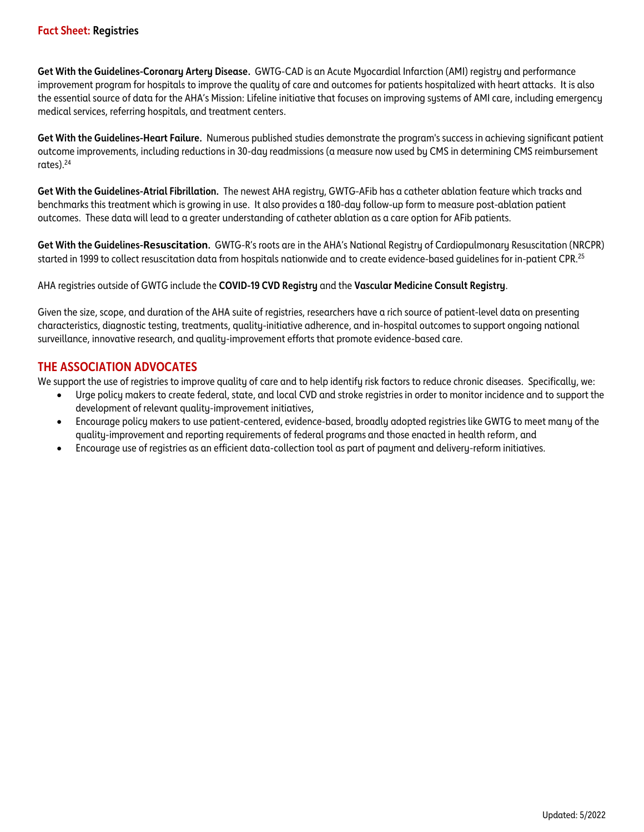**Get With the Guidelines-Coronary Artery Disease.** GWTG-CAD is an Acute Myocardial Infarction (AMI) registry and performance improvement program for hospitals to improve the quality of care and outcomes for patients hospitalized with heart attacks. It is also the essential source of data for the AHA's Mission: Lifeline initiative that focuses on improving systems of AMI care, including emergency medical services, referring hospitals, and treatment centers.

**Get With the Guidelines-Heart Failure.** Numerous published studies demonstrate the program's success in achieving significant patient outcome improvements, including reductions in 30-day readmissions (a measure now used by CMS in determining CMS reimbursement rates). 24

**Get With the Guidelines-Atrial Fibrillation.** The newest AHA registry, GWTG-AFib has a catheter ablation feature which tracks and benchmarks this treatment which is growing in use. It also provides a 180-day follow-up form to measure post-ablation patient outcomes. These data will lead to a greater understanding of catheter ablation as a care option for AFib patients.

**Get With the Guidelines-Resuscitation.** GWTG-R's roots are in the AHA's National Registry of Cardiopulmonary Resuscitation (NRCPR) started in 1999 to collect resuscitation data from hospitals nationwide and to create evidence-based guidelines for in-patient CPR.<sup>25</sup>

#### AHA registries outside of GWTG include the **COVID-19 CVD Registry** and the **Vascular Medicine Consult Registry**.

Given the size, scope, and duration of the AHA suite of registries, researchers have a rich source of patient-level data on presenting characteristics, diagnostic testing, treatments, quality-initiative adherence, and in-hospital outcomes to support ongoing national surveillance, innovative research, and quality-improvement efforts that promote evidence-based care.

#### **THE ASSOCIATION ADVOCATES**

We support the use of registries to improve quality of care and to help identify risk factors to reduce chronic diseases. Specifically, we:

- Urge policy makers to create federal, state, and local CVD and stroke registries in order to monitor incidence and to support the development of relevant quality-improvement initiatives,
- Encourage policy makers to use patient-centered, evidence-based, broadly adopted registries like GWTG to meet many of the quality-improvement and reporting requirements of federal programs and those enacted in health reform, and
- Encourage use of registries as an efficient data-collection tool as part of payment and delivery-reform initiatives.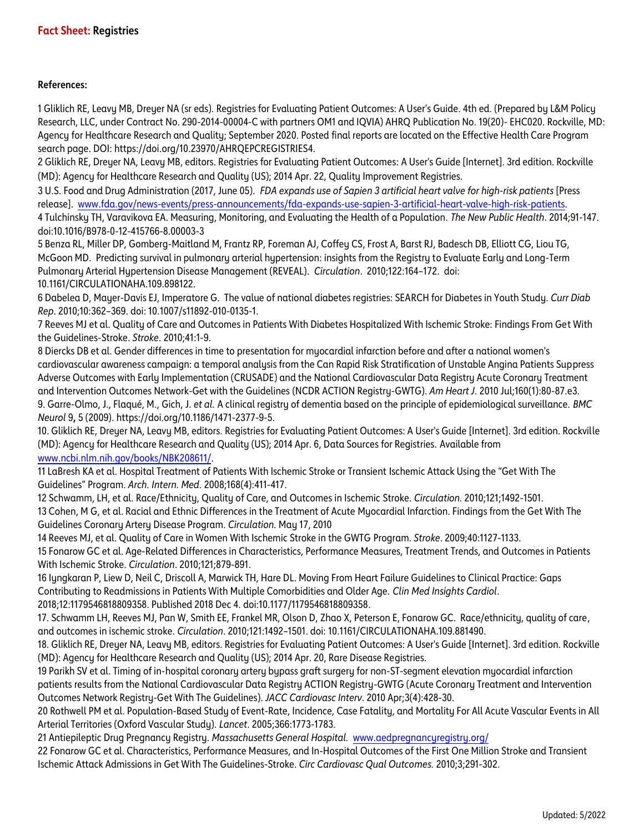#### **References:**

1 Gliklich RE, Leavy MB, Dreyer NA (sr eds). Registries for Evaluating Patient Outcomes: A User's Guide. 4th ed. (Prepared by L&M Policy Research, LLC, under Contract No. 290-2014-00004-C with partners OM1 and IQVIA) AHRQ Publication No. 19(20)- EHC020. Rockville, MD: Agency for Healthcare Research and Quality; September 2020. Posted final reports are located on the Effective Health Care Program search page. DOI: https://doi.org/10.23970/AHRQEPCREGISTRIES4.

2 Gliklich RE, Dreyer NA, Leavy MB, editors. Registries for Evaluating Patient Outcomes: A User's Guide [Internet]. 3rd edition. Rockville (MD): Agency for Healthcare Research and Quality (US); 2014 Apr. 22, Quality Improvement Registries.

3 U.S. Food and Drug Administration (2017, June 05). *FDA expands use of Sapien 3 artificial heart valve for high-risk patients* [Press release]. [www.fda.gov/news-events/press-announcements/fda-expands-use-sapien-3-artificial-heart-valve-high-risk-patients.](http://www.fda.gov/news-events/press-announcements/fda-expands-use-sapien-3-artificial-heart-valve-high-risk-patients)  4 Tulchinsky TH, Varavikova EA. Measuring, Monitoring, and Evaluating the Health of a Population. *The New Public Health*. 2014;91-147. doi:10.1016/B978-0-12-415766-8.00003-3

5 Benza RL, Miller DP, Gomberg-Maitland M, Frantz RP, Foreman AJ, Coffey CS, Frost A, Barst RJ, Badesch DB, Elliott CG, Liou TG, McGoon MD. Predicting survival in pulmonary arterial hypertension: insights from the Registry to Evaluate Early and Long-Term Pulmonary Arterial Hypertension Disease Management (REVEAL). *Circulation*. 2010;122:164–172. doi: 10.1161/CIRCULATIONAHA.109.898122.

6 Dabelea D, Mayer-Davis EJ, Imperatore G. The value of national diabetes registries: SEARCH for Diabetes in Youth Study. *Curr Diab Rep*. 2010;10:362–369. doi: 10.1007/s11892-010-0135-1.

7 Reeves MJ et al. Quality of Care and Outcomes in Patients With Diabetes Hospitalized With Ischemic Stroke: Findings From Get With the Guidelines-Stroke. *Stroke*. 2010;41:1-9.

8 Diercks DB et al. Gender differences in time to presentation for myocardial infarction before and after a national women's cardiovascular awareness campaign: a temporal analysis from the Can Rapid Risk Stratification of Unstable Angina Patients Suppress Adverse Outcomes with Early Implementation (CRUSADE) and the National Cardiovascular Data Registry Acute Coronary Treatment and Intervention Outcomes Network-Get with the Guidelines (NCDR ACTION Registry-GWTG). *Am Heart J.* 2010 Jul;160(1):80-87.e3. 9. Garre-Olmo, J., Flaqué, M., Gich, J. *et al.* A clinical registry of dementia based on the principle of epidemiological surveillance. *BMC Neurol* 9**,** 5 (2009). https://doi.org/10.1186/1471-2377-9-5.

10. Gliklich RE, Dreyer NA, Leavy MB, editors. Registries for Evaluating Patient Outcomes: A User's Guide [Internet]. 3rd edition. Rockville (MD): Agency for Healthcare Research and Quality (US); 2014 Apr. 6, Data Sources for Registries. Available from [www.ncbi.nlm.nih.gov/books/NBK208611/.](http://www.ncbi.nlm.nih.gov/books/NBK208611/)

11 LaBresh KA et al. Hospital Treatment of Patients With Ischemic Stroke or Transient Ischemic Attack Using the "Get With The Guidelines" Program. *Arch. Intern. Med.* 2008;168(4):411-417.

12 Schwamm, LH, et al. Race/Ethnicity, Quality of Care, and Outcomes in Ischemic Stroke. *Circulation.* 2010;121;1492-1501. 13 Cohen, M G, et al. Racial and Ethnic Differences in the Treatment of Acute Myocardial Infarction. Findings from the Get With The Guidelines Coronary Artery Disease Program. *Circulation.* May 17, 2010

14 Reeves MJ, et al. Quality of Care in Women With Ischemic Stroke in the GWTG Program. *Stroke*. 2009;40:1127-1133. 15 Fonarow GC et al. Age-Related Differences in Characteristics, Performance Measures, Treatment Trends, and Outcomes in Patients With Ischemic Stroke. *Circulation*. 2010;121;879-891.

16 Iyngkaran P, Liew D, Neil C, Driscoll A, Marwick TH, Hare DL. Moving From Heart Failure Guidelines to Clinical Practice: Gaps Contributing to Readmissions in Patients With Multiple Comorbidities and Older Age. *Clin Med Insights Cardiol*. 2018;12:1179546818809358. Published 2018 Dec 4. doi:10.1177/1179546818809358.

17. Schwamm LH, Reeves MJ, Pan W, Smith EE, Frankel MR, Olson D, Zhao X, Peterson E, Fonarow GC. Race/ethnicity, quality of care, and outcomes in ischemic stroke. *Circulation*. 2010;121:1492–1501. doi: 10.1161/CIRCULATIONAHA.109.881490.

18. Gliklich RE, Dreyer NA, Leavy MB, editors. Registries for Evaluating Patient Outcomes: A User's Guide [Internet]. 3rd edition. Rockville (MD): Agency for Healthcare Research and Quality (US); 2014 Apr. 20, Rare Disease Registries.

19 Parikh SV et al. Timing of in-hospital coronary artery bypass graft surgery for non-ST-segment elevation myocardial infarction patients results from the National Cardiovascular Data Registry ACTION Registry-GWTG (Acute Coronary Treatment and Intervention Outcomes Network Registry-Get With The Guidelines). *JACC Cardiovasc Interv*. 2010 Apr;3(4):428-30.

20 Rothwell PM et al. Population-Based Study of Event-Rate, Incidence, Case Fatality, and Mortality For All Acute Vascular Events in All Arterial Territories (Oxford Vascular Study). *Lancet*. 2005;366:1773-1783.

21 Antiepileptic Drug Pregnancy Registry. *Massachusetts General Hospital.* [www.aedpregnancyregistry.org/](http://www.aedpregnancyregistry.org/)

22 Fonarow GC et al. Characteristics, Performance Measures, and In-Hospital Outcomes of the First One Million Stroke and Transient Ischemic Attack Admissions in Get With The Guidelines-Stroke. *Circ Cardiovasc Qual Outcomes.* 2010;3;291-302.